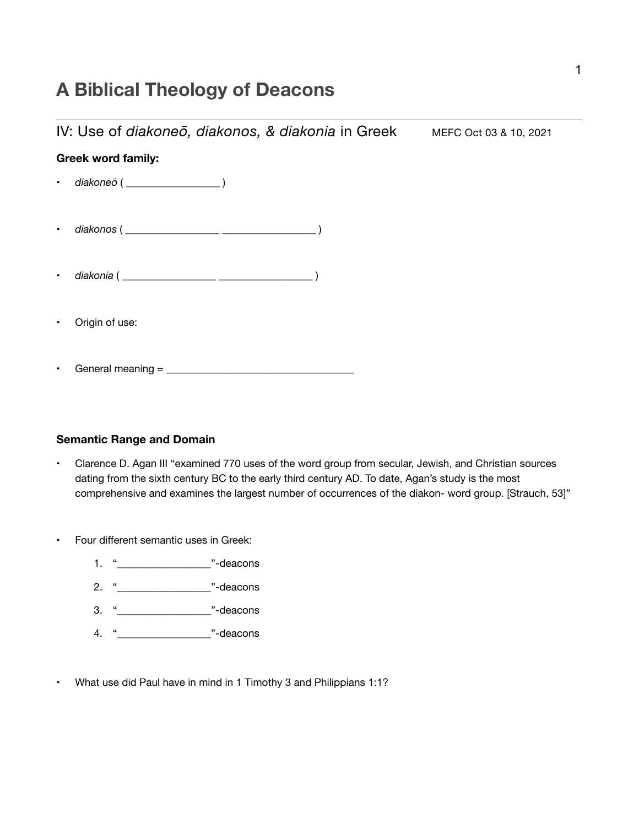# **A Biblical Theology of Deacons**

IV: Use of *diakoneō*, *diakonos*, & *diakonia* in Greek MEFC Oct 03 & 10, 2021

# **Greek word family:**

- *diakoneō* ( \_\_\_\_\_\_\_\_\_\_\_\_\_\_\_\_\_\_ )
- *diakonos* ( \_\_\_\_\_\_\_\_\_\_\_\_\_\_\_\_\_\_ \_\_\_\_\_\_\_\_\_\_\_\_\_\_\_\_\_\_ )
- *diakonia* ( \_\_\_\_\_\_\_\_\_\_\_\_\_\_\_\_\_\_ \_\_\_\_\_\_\_\_\_\_\_\_\_\_\_\_\_\_ )
- Origin of use:

General meaning  $=$ 

#### **Semantic Range and Domain**

- Clarence D. Agan III "examined 770 uses of the word group from secular, Jewish, and Christian sources dating from the sixth century BC to the early third century AD. To date, Agan's study is the most comprehensive and examines the largest number of occurrences of the diakon- word group. [Strauch, 53]"
- Four different semantic uses in Greek:
	- 1. "\_\_\_\_\_\_\_\_\_\_\_\_\_\_\_\_\_\_"-deacons
	- 2. "
	<br>
	2. "
	<sup>2</sup>
	- 3. "\_\_\_\_\_\_\_\_\_\_\_\_\_\_\_\_\_\_"-deacons
	- 4. "
	deacons
- What use did Paul have in mind in 1 Timothy 3 and Philippians 1:1?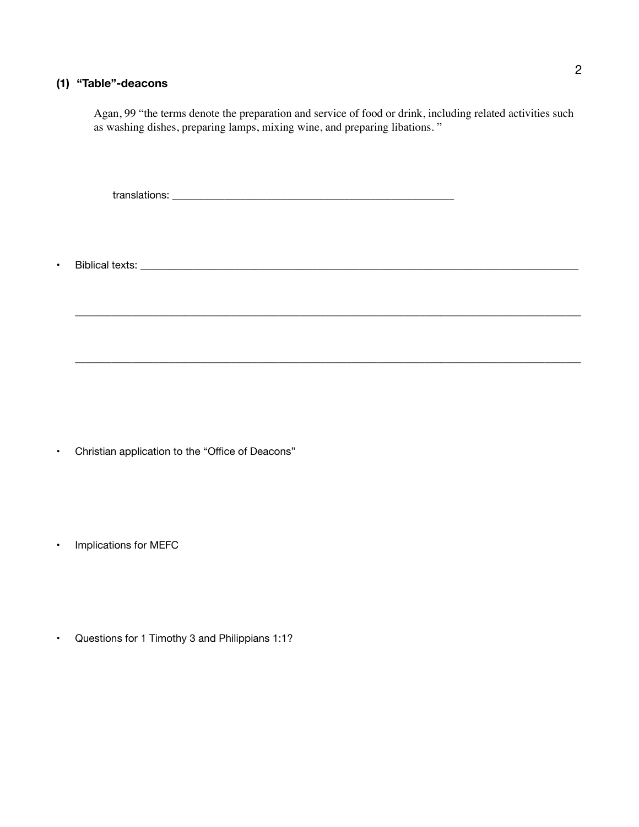### **(1) "Table"-deacons**

Agan, 99 "the terms denote the preparation and service of food or drink, including related activities such as washing dishes, preparing lamps, mixing wine, and preparing libations. "

 $\_$  ,  $\_$  ,  $\_$  ,  $\_$  ,  $\_$  ,  $\_$  ,  $\_$  ,  $\_$  ,  $\_$  ,  $\_$  ,  $\_$  ,  $\_$  ,  $\_$  ,  $\_$  ,  $\_$  ,  $\_$  ,  $\_$  ,  $\_$  ,  $\_$  ,  $\_$  ,  $\_$  ,  $\_$  ,  $\_$  ,  $\_$  ,  $\_$  ,  $\_$  ,  $\_$  ,  $\_$  ,  $\_$  ,  $\_$  ,  $\_$  ,  $\_$  ,  $\_$  ,  $\_$  ,  $\_$  ,  $\_$  ,  $\_$  ,

 $\_$  ,  $\_$  ,  $\_$  ,  $\_$  ,  $\_$  ,  $\_$  ,  $\_$  ,  $\_$  ,  $\_$  ,  $\_$  ,  $\_$  ,  $\_$  ,  $\_$  ,  $\_$  ,  $\_$  ,  $\_$  ,  $\_$  ,  $\_$  ,  $\_$  ,  $\_$  ,  $\_$  ,  $\_$  ,  $\_$  ,  $\_$  ,  $\_$  ,  $\_$  ,  $\_$  ,  $\_$  ,  $\_$  ,  $\_$  ,  $\_$  ,  $\_$  ,  $\_$  ,  $\_$  ,  $\_$  ,  $\_$  ,  $\_$  ,

translations: \_\_\_\_\_\_\_\_\_\_\_\_\_\_\_\_\_\_\_\_\_\_\_\_\_\_\_\_\_\_\_\_\_\_\_\_\_\_\_\_\_\_\_\_\_\_\_\_\_\_\_\_\_\_

• Biblical texts: \_\_\_\_\_\_\_\_\_\_\_\_\_\_\_\_\_\_\_\_\_\_\_\_\_\_\_\_\_\_\_\_\_\_\_\_\_\_\_\_\_\_\_\_\_\_\_\_\_\_\_\_\_\_\_\_\_\_\_\_\_\_\_\_\_\_\_\_\_\_\_\_\_\_\_\_\_\_\_\_\_\_\_\_

• Christian application to the "Office of Deacons"

• Implications for MEFC

• Questions for 1 Timothy 3 and Philippians 1:1?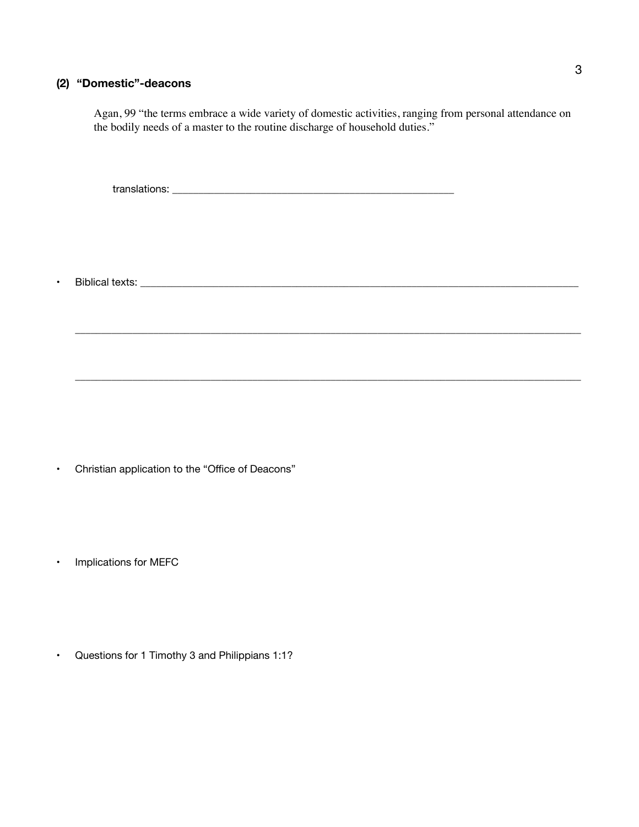## **(2) "Domestic"-deacons**

Agan, 99 "the terms embrace a wide variety of domestic activities, ranging from personal attendance on the bodily needs of a master to the routine discharge of household duties."

\_\_\_\_\_\_\_\_\_\_\_\_\_\_\_\_\_\_\_\_\_\_\_\_\_\_\_\_\_\_\_\_\_\_\_\_\_\_\_\_\_\_\_\_\_\_\_\_\_\_\_\_\_\_\_\_\_\_\_\_\_\_\_\_\_\_\_\_\_\_\_\_\_\_\_\_\_\_\_\_\_\_\_\_\_\_\_\_\_\_\_\_\_\_\_\_\_

\_\_\_\_\_\_\_\_\_\_\_\_\_\_\_\_\_\_\_\_\_\_\_\_\_\_\_\_\_\_\_\_\_\_\_\_\_\_\_\_\_\_\_\_\_\_\_\_\_\_\_\_\_\_\_\_\_\_\_\_\_\_\_\_\_\_\_\_\_\_\_\_\_\_\_\_\_\_\_\_\_\_\_\_\_\_\_\_\_\_\_\_\_\_\_\_\_

translations: \_\_\_\_\_\_\_\_\_\_\_\_\_\_\_\_\_\_\_\_\_\_\_\_\_\_\_\_\_\_\_\_\_\_\_\_\_\_\_\_\_\_\_\_\_\_\_\_\_\_\_\_\_\_

• Biblical texts:

• Christian application to the "Office of Deacons"

• Implications for MEFC

• Questions for 1 Timothy 3 and Philippians 1:1?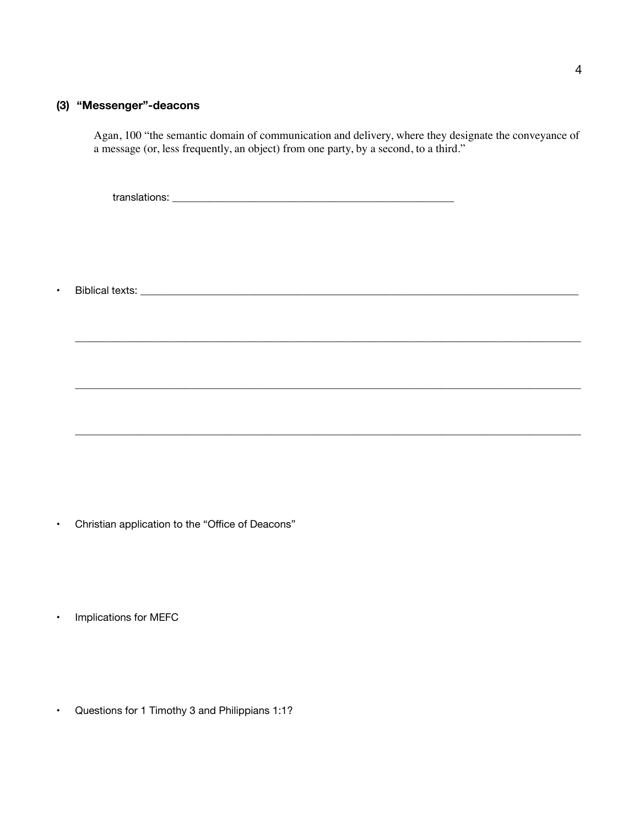### **(3) "Messenger"-deacons**

Agan, 100 "the semantic domain of communication and delivery, where they designate the conveyance of a message (or, less frequently, an object) from one party, by a second, to a third."

\_\_\_\_\_\_\_\_\_\_\_\_\_\_\_\_\_\_\_\_\_\_\_\_\_\_\_\_\_\_\_\_\_\_\_\_\_\_\_\_\_\_\_\_\_\_\_\_\_\_\_\_\_\_\_\_\_\_\_\_\_\_\_\_\_\_\_\_\_\_\_\_\_\_\_\_\_\_\_\_\_\_\_\_\_\_\_\_\_\_\_\_\_\_\_\_\_

\_\_\_\_\_\_\_\_\_\_\_\_\_\_\_\_\_\_\_\_\_\_\_\_\_\_\_\_\_\_\_\_\_\_\_\_\_\_\_\_\_\_\_\_\_\_\_\_\_\_\_\_\_\_\_\_\_\_\_\_\_\_\_\_\_\_\_\_\_\_\_\_\_\_\_\_\_\_\_\_\_\_\_\_\_\_\_\_\_\_\_\_\_\_\_\_\_

 $\_$  ,  $\_$  ,  $\_$  ,  $\_$  ,  $\_$  ,  $\_$  ,  $\_$  ,  $\_$  ,  $\_$  ,  $\_$  ,  $\_$  ,  $\_$  ,  $\_$  ,  $\_$  ,  $\_$  ,  $\_$  ,  $\_$  ,  $\_$  ,  $\_$  ,  $\_$  ,  $\_$  ,  $\_$  ,  $\_$  ,  $\_$  ,  $\_$  ,  $\_$  ,  $\_$  ,  $\_$  ,  $\_$  ,  $\_$  ,  $\_$  ,  $\_$  ,  $\_$  ,  $\_$  ,  $\_$  ,  $\_$  ,  $\_$  ,

translations: \_\_\_\_\_\_\_\_\_\_\_\_\_\_\_\_\_\_\_\_\_\_\_\_\_\_\_\_\_\_\_\_\_\_\_\_\_\_\_\_\_\_\_\_\_\_\_\_\_\_\_\_\_\_

• Biblical texts: \_\_\_\_\_\_\_\_\_\_\_\_\_\_\_\_\_\_\_\_\_\_\_\_\_\_\_\_\_\_\_\_\_\_\_\_\_\_\_\_\_\_\_\_\_\_\_\_\_\_\_\_\_\_\_\_\_\_\_\_\_\_\_\_\_\_\_\_\_\_\_\_\_\_\_\_\_\_\_\_\_\_\_\_

- Christian application to the "Office of Deacons"
- Implications for MEFC
- Questions for 1 Timothy 3 and Philippians 1:1?